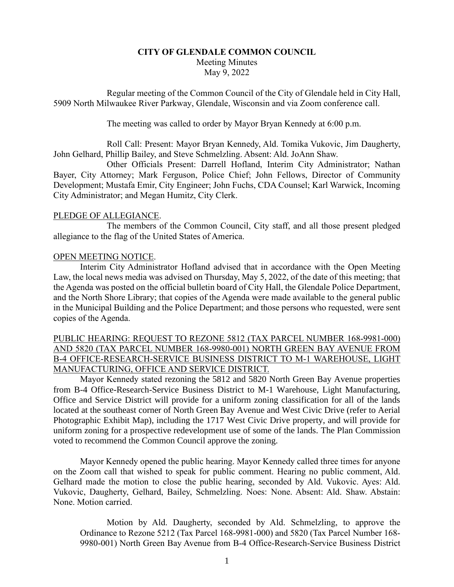# **CITY OF GLENDALE COMMON COUNCIL** Meeting Minutes May 9, 2022

Regular meeting of the Common Council of the City of Glendale held in City Hall, 5909 North Milwaukee River Parkway, Glendale, Wisconsin and via Zoom conference call.

The meeting was called to order by Mayor Bryan Kennedy at 6:00 p.m.

Roll Call: Present: Mayor Bryan Kennedy, Ald. Tomika Vukovic, Jim Daugherty, John Gelhard, Phillip Bailey, and Steve Schmelzling. Absent: Ald. JoAnn Shaw.

Other Officials Present: Darrell Hofland, Interim City Administrator; Nathan Bayer, City Attorney; Mark Ferguson, Police Chief; John Fellows, Director of Community Development; Mustafa Emir, City Engineer; John Fuchs, CDA Counsel; Karl Warwick, Incoming City Administrator; and Megan Humitz, City Clerk.

## PLEDGE OF ALLEGIANCE.

The members of the Common Council, City staff, and all those present pledged allegiance to the flag of the United States of America.

## OPEN MEETING NOTICE.

Interim City Administrator Hofland advised that in accordance with the Open Meeting Law, the local news media was advised on Thursday, May 5, 2022, of the date of this meeting; that the Agenda was posted on the official bulletin board of City Hall, the Glendale Police Department, and the North Shore Library; that copies of the Agenda were made available to the general public in the Municipal Building and the Police Department; and those persons who requested, were sent copies of the Agenda.

# PUBLIC HEARING: REQUEST TO REZONE 5812 (TAX PARCEL NUMBER 168-9981-000) AND 5820 (TAX PARCEL NUMBER 168-9980-001) NORTH GREEN BAY AVENUE FROM B-4 OFFICE-RESEARCH-SERVICE BUSINESS DISTRICT TO M-1 WAREHOUSE, LIGHT MANUFACTURING, OFFICE AND SERVICE DISTRICT.

Mayor Kennedy stated rezoning the 5812 and 5820 North Green Bay Avenue properties from B-4 Office-Research-Service Business District to M-1 Warehouse, Light Manufacturing, Office and Service District will provide for a uniform zoning classification for all of the lands located at the southeast corner of North Green Bay Avenue and West Civic Drive (refer to Aerial Photographic Exhibit Map), including the 1717 West Civic Drive property, and will provide for uniform zoning for a prospective redevelopment use of some of the lands. The Plan Commission voted to recommend the Common Council approve the zoning.

Mayor Kennedy opened the public hearing. Mayor Kennedy called three times for anyone on the Zoom call that wished to speak for public comment. Hearing no public comment, Ald. Gelhard made the motion to close the public hearing, seconded by Ald. Vukovic. Ayes: Ald. Vukovic, Daugherty, Gelhard, Bailey, Schmelzling. Noes: None. Absent: Ald. Shaw. Abstain: None. Motion carried.

Motion by Ald. Daugherty, seconded by Ald. Schmelzling, to approve the Ordinance to Rezone 5212 (Tax Parcel 168-9981-000) and 5820 (Tax Parcel Number 168- 9980-001) North Green Bay Avenue from B-4 Office-Research-Service Business District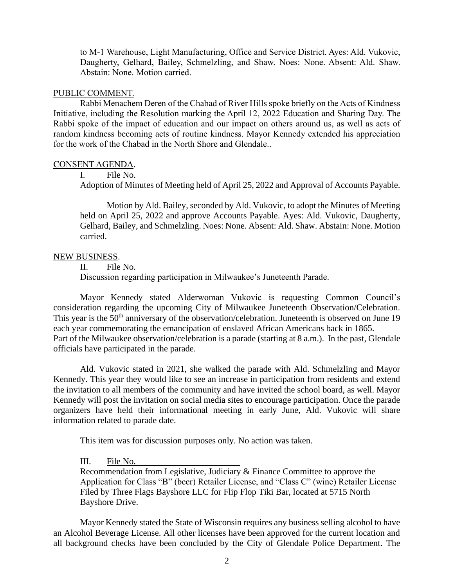to M-1 Warehouse, Light Manufacturing, Office and Service District. Ayes: Ald. Vukovic, Daugherty, Gelhard, Bailey, Schmelzling, and Shaw. Noes: None. Absent: Ald. Shaw. Abstain: None. Motion carried.

### PUBLIC COMMENT.

Rabbi Menachem Deren of the Chabad of River Hills spoke briefly on the Acts of Kindness Initiative, including the Resolution marking the April 12, 2022 Education and Sharing Day. The Rabbi spoke of the impact of education and our impact on others around us, as well as acts of random kindness becoming acts of routine kindness. Mayor Kennedy extended his appreciation for the work of the Chabad in the North Shore and Glendale..

### CONSENT AGENDA.

I. File No.

Adoption of Minutes of Meeting held of April 25, 2022 and Approval of Accounts Payable.

Motion by Ald. Bailey, seconded by Ald. Vukovic, to adopt the Minutes of Meeting held on April 25, 2022 and approve Accounts Payable. Ayes: Ald. Vukovic, Daugherty, Gelhard, Bailey, and Schmelzling. Noes: None. Absent: Ald. Shaw. Abstain: None. Motion carried.

## NEW BUSINESS.

II. File No.

Discussion regarding participation in Milwaukee's Juneteenth Parade.

Mayor Kennedy stated Alderwoman Vukovic is requesting Common Council's consideration regarding the upcoming City of Milwaukee Juneteenth Observation/Celebration. This year is the 50<sup>th</sup> anniversary of the observation/celebration. Juneteenth is observed on June 19 each year commemorating the emancipation of enslaved African Americans back in 1865. Part of the Milwaukee observation/celebration is a parade (starting at 8 a.m.). In the past, Glendale officials have participated in the parade.

Ald. Vukovic stated in 2021, she walked the parade with Ald. Schmelzling and Mayor Kennedy. This year they would like to see an increase in participation from residents and extend the invitation to all members of the community and have invited the school board, as well. Mayor Kennedy will post the invitation on social media sites to encourage participation. Once the parade organizers have held their informational meeting in early June, Ald. Vukovic will share information related to parade date.

This item was for discussion purposes only. No action was taken.

III. File No.

Recommendation from Legislative, Judiciary & Finance Committee to approve the Application for Class "B" (beer) Retailer License, and "Class C" (wine) Retailer License Filed by Three Flags Bayshore LLC for Flip Flop Tiki Bar, located at 5715 North Bayshore Drive.

Mayor Kennedy stated the State of Wisconsin requires any business selling alcohol to have an Alcohol Beverage License. All other licenses have been approved for the current location and all background checks have been concluded by the City of Glendale Police Department. The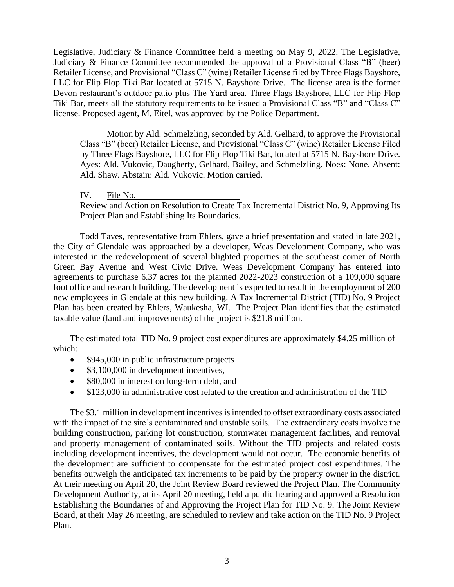Legislative, Judiciary & Finance Committee held a meeting on May 9, 2022. The Legislative, Judiciary & Finance Committee recommended the approval of a Provisional Class "B" (beer) Retailer License, and Provisional "Class C" (wine) Retailer License filed by Three Flags Bayshore, LLC for Flip Flop Tiki Bar located at 5715 N. Bayshore Drive. The license area is the former Devon restaurant's outdoor patio plus The Yard area. Three Flags Bayshore, LLC for Flip Flop Tiki Bar, meets all the statutory requirements to be issued a Provisional Class "B" and "Class C" license. Proposed agent, M. Eitel, was approved by the Police Department.

Motion by Ald. Schmelzling, seconded by Ald. Gelhard, to approve the Provisional Class "B" (beer) Retailer License, and Provisional "Class C" (wine) Retailer License Filed by Three Flags Bayshore, LLC for Flip Flop Tiki Bar, located at 5715 N. Bayshore Drive. Ayes: Ald. Vukovic, Daugherty, Gelhard, Bailey, and Schmelzling. Noes: None. Absent: Ald. Shaw. Abstain: Ald. Vukovic. Motion carried.

IV. File No.

Review and Action on Resolution to Create Tax Incremental District No. 9, Approving Its Project Plan and Establishing Its Boundaries.

Todd Taves, representative from Ehlers, gave a brief presentation and stated in late 2021, the City of Glendale was approached by a developer, Weas Development Company, who was interested in the redevelopment of several blighted properties at the southeast corner of North Green Bay Avenue and West Civic Drive. Weas Development Company has entered into agreements to purchase 6.37 acres for the planned 2022-2023 construction of a 109,000 square foot office and research building. The development is expected to result in the employment of 200 new employees in Glendale at this new building. A Tax Incremental District (TID) No. 9 Project Plan has been created by Ehlers, Waukesha, WI. The Project Plan identifies that the estimated taxable value (land and improvements) of the project is \$21.8 million.

The estimated total TID No. 9 project cost expenditures are approximately \$4.25 million of which:

- \$945,000 in public infrastructure projects
- \$3,100,000 in development incentives,
- \$80,000 in interest on long-term debt, and
- \$123,000 in administrative cost related to the creation and administration of the TID

The \$3.1 million in development incentives is intended to offset extraordinary costs associated with the impact of the site's contaminated and unstable soils. The extraordinary costs involve the building construction, parking lot construction, stormwater management facilities, and removal and property management of contaminated soils. Without the TID projects and related costs including development incentives, the development would not occur. The economic benefits of the development are sufficient to compensate for the estimated project cost expenditures. The benefits outweigh the anticipated tax increments to be paid by the property owner in the district. At their meeting on April 20, the Joint Review Board reviewed the Project Plan. The Community Development Authority, at its April 20 meeting, held a public hearing and approved a Resolution Establishing the Boundaries of and Approving the Project Plan for TID No. 9. The Joint Review Board, at their May 26 meeting, are scheduled to review and take action on the TID No. 9 Project Plan.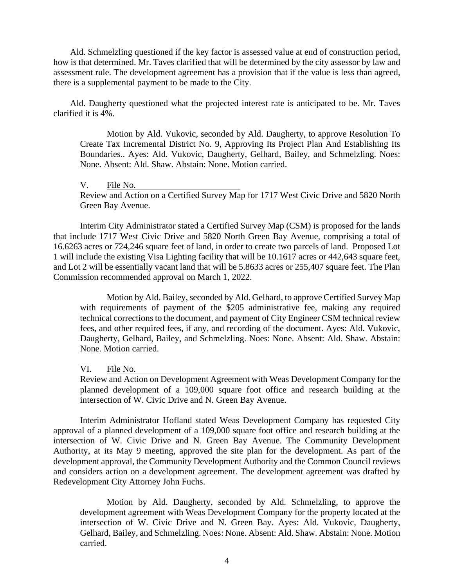Ald. Schmelzling questioned if the key factor is assessed value at end of construction period, how is that determined. Mr. Taves clarified that will be determined by the city assessor by law and assessment rule. The development agreement has a provision that if the value is less than agreed, there is a supplemental payment to be made to the City.

Ald. Daugherty questioned what the projected interest rate is anticipated to be. Mr. Taves clarified it is 4%.

Motion by Ald. Vukovic, seconded by Ald. Daugherty, to approve Resolution To Create Tax Incremental District No. 9, Approving Its Project Plan And Establishing Its Boundaries.. Ayes: Ald. Vukovic, Daugherty, Gelhard, Bailey, and Schmelzling. Noes: None. Absent: Ald. Shaw. Abstain: None. Motion carried.

V. File No.

Review and Action on a Certified Survey Map for 1717 West Civic Drive and 5820 North Green Bay Avenue.

Interim City Administrator stated a Certified Survey Map (CSM) is proposed for the lands that include 1717 West Civic Drive and 5820 North Green Bay Avenue, comprising a total of 16.6263 acres or 724,246 square feet of land, in order to create two parcels of land. Proposed Lot 1 will include the existing Visa Lighting facility that will be 10.1617 acres or 442,643 square feet, and Lot 2 will be essentially vacant land that will be 5.8633 acres or 255,407 square feet. The Plan Commission recommended approval on March 1, 2022.

Motion by Ald. Bailey, seconded by Ald. Gelhard, to approve Certified Survey Map with requirements of payment of the \$205 administrative fee, making any required technical corrections to the document, and payment of City Engineer CSM technical review fees, and other required fees, if any, and recording of the document. Ayes: Ald. Vukovic, Daugherty, Gelhard, Bailey, and Schmelzling. Noes: None. Absent: Ald. Shaw. Abstain: None. Motion carried.

VI. File No.

Review and Action on Development Agreement with Weas Development Company for the planned development of a 109,000 square foot office and research building at the intersection of W. Civic Drive and N. Green Bay Avenue.

Interim Administrator Hofland stated Weas Development Company has requested City approval of a planned development of a 109,000 square foot office and research building at the intersection of W. Civic Drive and N. Green Bay Avenue. The Community Development Authority, at its May 9 meeting, approved the site plan for the development. As part of the development approval, the Community Development Authority and the Common Council reviews and considers action on a development agreement. The development agreement was drafted by Redevelopment City Attorney John Fuchs.

Motion by Ald. Daugherty, seconded by Ald. Schmelzling, to approve the development agreement with Weas Development Company for the property located at the intersection of W. Civic Drive and N. Green Bay. Ayes: Ald. Vukovic, Daugherty, Gelhard, Bailey, and Schmelzling. Noes: None. Absent: Ald. Shaw. Abstain: None. Motion carried.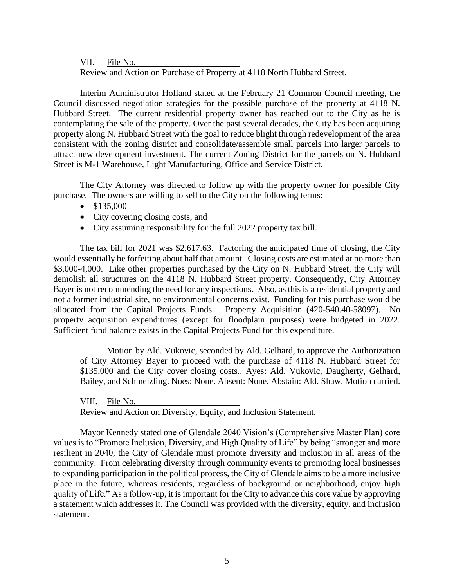VII. File No.

Review and Action on Purchase of Property at 4118 North Hubbard Street.

Interim Administrator Hofland stated at the February 21 Common Council meeting, the Council discussed negotiation strategies for the possible purchase of the property at 4118 N. Hubbard Street. The current residential property owner has reached out to the City as he is contemplating the sale of the property. Over the past several decades, the City has been acquiring property along N. Hubbard Street with the goal to reduce blight through redevelopment of the area consistent with the zoning district and consolidate/assemble small parcels into larger parcels to attract new development investment. The current Zoning District for the parcels on N. Hubbard Street is M-1 Warehouse, Light Manufacturing, Office and Service District.

The City Attorney was directed to follow up with the property owner for possible City purchase. The owners are willing to sell to the City on the following terms:

- \$135,000
- City covering closing costs, and
- City assuming responsibility for the full 2022 property tax bill.

The tax bill for 2021 was \$2,617.63. Factoring the anticipated time of closing, the City would essentially be forfeiting about half that amount. Closing costs are estimated at no more than \$3,000-4,000. Like other properties purchased by the City on N. Hubbard Street, the City will demolish all structures on the 4118 N. Hubbard Street property. Consequently, City Attorney Bayer is not recommending the need for any inspections. Also, as this is a residential property and not a former industrial site, no environmental concerns exist. Funding for this purchase would be allocated from the Capital Projects Funds – Property Acquisition (420-540.40-58097). No property acquisition expenditures (except for floodplain purposes) were budgeted in 2022. Sufficient fund balance exists in the Capital Projects Fund for this expenditure.

Motion by Ald. Vukovic, seconded by Ald. Gelhard, to approve the Authorization of City Attorney Bayer to proceed with the purchase of 4118 N. Hubbard Street for \$135,000 and the City cover closing costs.. Ayes: Ald. Vukovic, Daugherty, Gelhard, Bailey, and Schmelzling. Noes: None. Absent: None. Abstain: Ald. Shaw. Motion carried.

VIII. File No. Review and Action on Diversity, Equity, and Inclusion Statement.

Mayor Kennedy stated one of Glendale 2040 Vision's (Comprehensive Master Plan) core values is to "Promote Inclusion, Diversity, and High Quality of Life" by being "stronger and more resilient in 2040, the City of Glendale must promote diversity and inclusion in all areas of the community. From celebrating diversity through community events to promoting local businesses to expanding participation in the political process, the City of Glendale aims to be a more inclusive place in the future, whereas residents, regardless of background or neighborhood, enjoy high quality of Life." As a follow-up, it is important for the City to advance this core value by approving a statement which addresses it. The Council was provided with the diversity, equity, and inclusion statement.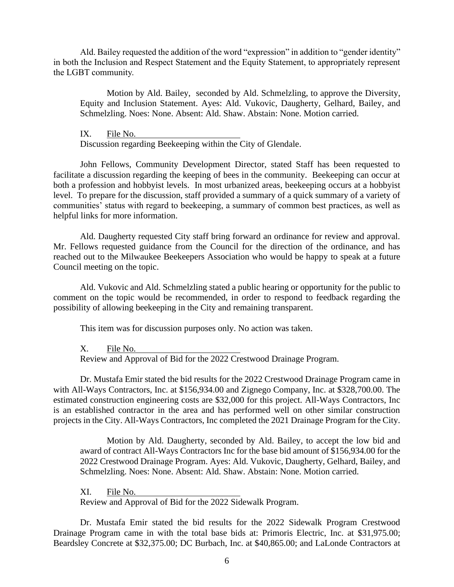Ald. Bailey requested the addition of the word "expression" in addition to "gender identity" in both the Inclusion and Respect Statement and the Equity Statement, to appropriately represent the LGBT community.

Motion by Ald. Bailey, seconded by Ald. Schmelzling, to approve the Diversity, Equity and Inclusion Statement. Ayes: Ald. Vukovic, Daugherty, Gelhard, Bailey, and Schmelzling. Noes: None. Absent: Ald. Shaw. Abstain: None. Motion carried.

IX. File No.

Discussion regarding Beekeeping within the City of Glendale.

John Fellows, Community Development Director, stated Staff has been requested to facilitate a discussion regarding the keeping of bees in the community. Beekeeping can occur at both a profession and hobbyist levels. In most urbanized areas, beekeeping occurs at a hobbyist level. To prepare for the discussion, staff provided a summary of a quick summary of a variety of communities' status with regard to beekeeping, a summary of common best practices, as well as helpful links for more information.

Ald. Daugherty requested City staff bring forward an ordinance for review and approval. Mr. Fellows requested guidance from the Council for the direction of the ordinance, and has reached out to the Milwaukee Beekeepers Association who would be happy to speak at a future Council meeting on the topic.

Ald. Vukovic and Ald. Schmelzling stated a public hearing or opportunity for the public to comment on the topic would be recommended, in order to respond to feedback regarding the possibility of allowing beekeeping in the City and remaining transparent.

This item was for discussion purposes only. No action was taken.

X. File No.

Review and Approval of Bid for the 2022 Crestwood Drainage Program.

Dr. Mustafa Emir stated the bid results for the 2022 Crestwood Drainage Program came in with All-Ways Contractors, Inc. at \$156,934.00 and Zignego Company, Inc. at \$328,700.00. The estimated construction engineering costs are \$32,000 for this project. All-Ways Contractors, Inc is an established contractor in the area and has performed well on other similar construction projects in the City. All-Ways Contractors, Inc completed the 2021 Drainage Program for the City.

Motion by Ald. Daugherty, seconded by Ald. Bailey, to accept the low bid and award of contract All-Ways Contractors Inc for the base bid amount of \$156,934.00 for the 2022 Crestwood Drainage Program. Ayes: Ald. Vukovic, Daugherty, Gelhard, Bailey, and Schmelzling. Noes: None. Absent: Ald. Shaw. Abstain: None. Motion carried.

XI. File No. Review and Approval of Bid for the 2022 Sidewalk Program.

Dr. Mustafa Emir stated the bid results for the 2022 Sidewalk Program Crestwood Drainage Program came in with the total base bids at: Primoris Electric, Inc. at \$31,975.00; Beardsley Concrete at \$32,375.00; DC Burbach, Inc. at \$40,865.00; and LaLonde Contractors at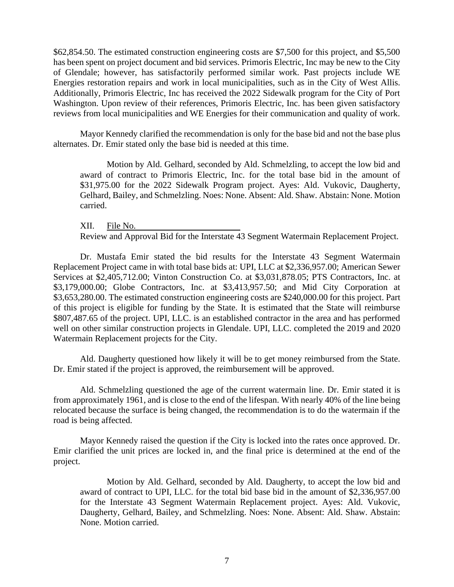\$62,854.50. The estimated construction engineering costs are \$7,500 for this project, and \$5,500 has been spent on project document and bid services. Primoris Electric, Inc may be new to the City of Glendale; however, has satisfactorily performed similar work. Past projects include WE Energies restoration repairs and work in local municipalities, such as in the City of West Allis. Additionally, Primoris Electric, Inc has received the 2022 Sidewalk program for the City of Port Washington. Upon review of their references, Primoris Electric, Inc. has been given satisfactory reviews from local municipalities and WE Energies for their communication and quality of work.

Mayor Kennedy clarified the recommendation is only for the base bid and not the base plus alternates. Dr. Emir stated only the base bid is needed at this time.

Motion by Ald. Gelhard, seconded by Ald. Schmelzling, to accept the low bid and award of contract to Primoris Electric, Inc. for the total base bid in the amount of \$31,975.00 for the 2022 Sidewalk Program project. Ayes: Ald. Vukovic, Daugherty, Gelhard, Bailey, and Schmelzling. Noes: None. Absent: Ald. Shaw. Abstain: None. Motion carried.

XII. File No. Review and Approval Bid for the Interstate 43 Segment Watermain Replacement Project.

Dr. Mustafa Emir stated the bid results for the Interstate 43 Segment Watermain Replacement Project came in with total base bids at: UPI, LLC at \$2,336,957.00; American Sewer Services at \$2,405,712.00; Vinton Construction Co. at \$3,031,878.05; PTS Contractors, Inc. at \$3,179,000.00; Globe Contractors, Inc. at \$3,413,957.50; and Mid City Corporation at \$3,653,280.00. The estimated construction engineering costs are \$240,000.00 for this project. Part of this project is eligible for funding by the State. It is estimated that the State will reimburse \$807,487.65 of the project. UPI, LLC. is an established contractor in the area and has performed well on other similar construction projects in Glendale. UPI, LLC. completed the 2019 and 2020 Watermain Replacement projects for the City.

Ald. Daugherty questioned how likely it will be to get money reimbursed from the State. Dr. Emir stated if the project is approved, the reimbursement will be approved.

Ald. Schmelzling questioned the age of the current watermain line. Dr. Emir stated it is from approximately 1961, and is close to the end of the lifespan. With nearly 40% of the line being relocated because the surface is being changed, the recommendation is to do the watermain if the road is being affected.

Mayor Kennedy raised the question if the City is locked into the rates once approved. Dr. Emir clarified the unit prices are locked in, and the final price is determined at the end of the project.

Motion by Ald. Gelhard, seconded by Ald. Daugherty, to accept the low bid and award of contract to UPI, LLC. for the total bid base bid in the amount of \$2,336,957.00 for the Interstate 43 Segment Watermain Replacement project. Ayes: Ald. Vukovic, Daugherty, Gelhard, Bailey, and Schmelzling. Noes: None. Absent: Ald. Shaw. Abstain: None. Motion carried.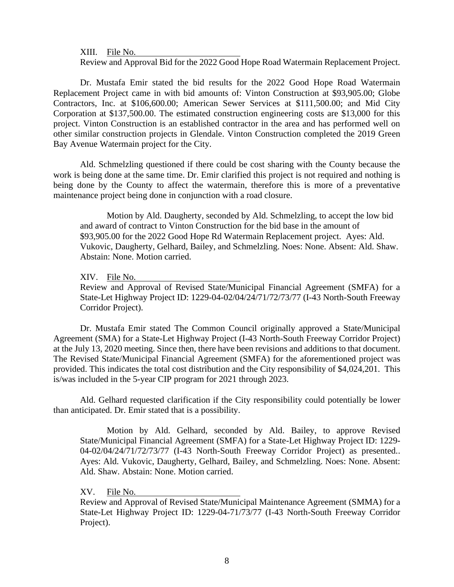XIII. File No.

Review and Approval Bid for the 2022 Good Hope Road Watermain Replacement Project.

Dr. Mustafa Emir stated the bid results for the 2022 Good Hope Road Watermain Replacement Project came in with bid amounts of: Vinton Construction at \$93,905.00; Globe Contractors, Inc. at \$106,600.00; American Sewer Services at \$111,500.00; and Mid City Corporation at \$137,500.00. The estimated construction engineering costs are \$13,000 for this project. Vinton Construction is an established contractor in the area and has performed well on other similar construction projects in Glendale. Vinton Construction completed the 2019 Green Bay Avenue Watermain project for the City.

Ald. Schmelzling questioned if there could be cost sharing with the County because the work is being done at the same time. Dr. Emir clarified this project is not required and nothing is being done by the County to affect the watermain, therefore this is more of a preventative maintenance project being done in conjunction with a road closure.

Motion by Ald. Daugherty, seconded by Ald. Schmelzling, to accept the low bid and award of contract to Vinton Construction for the bid base in the amount of \$93,905.00 for the 2022 Good Hope Rd Watermain Replacement project. Ayes: Ald. Vukovic, Daugherty, Gelhard, Bailey, and Schmelzling. Noes: None. Absent: Ald. Shaw. Abstain: None. Motion carried.

XIV. File No.

Review and Approval of Revised State/Municipal Financial Agreement (SMFA) for a State-Let Highway Project ID: 1229-04-02/04/24/71/72/73/77 (I-43 North-South Freeway Corridor Project).

Dr. Mustafa Emir stated The Common Council originally approved a State/Municipal Agreement (SMA) for a State-Let Highway Project (I-43 North-South Freeway Corridor Project) at the July 13, 2020 meeting. Since then, there have been revisions and additions to that document. The Revised State/Municipal Financial Agreement (SMFA) for the aforementioned project was provided. This indicates the total cost distribution and the City responsibility of \$4,024,201. This is/was included in the 5-year CIP program for 2021 through 2023.

Ald. Gelhard requested clarification if the City responsibility could potentially be lower than anticipated. Dr. Emir stated that is a possibility.

Motion by Ald. Gelhard, seconded by Ald. Bailey, to approve Revised State/Municipal Financial Agreement (SMFA) for a State-Let Highway Project ID: 1229- 04-02/04/24/71/72/73/77 (I-43 North-South Freeway Corridor Project) as presented.. Ayes: Ald. Vukovic, Daugherty, Gelhard, Bailey, and Schmelzling. Noes: None. Absent: Ald. Shaw. Abstain: None. Motion carried.

XV. File No.

Review and Approval of Revised State/Municipal Maintenance Agreement (SMMA) for a State-Let Highway Project ID: 1229-04-71/73/77 (I-43 North-South Freeway Corridor Project).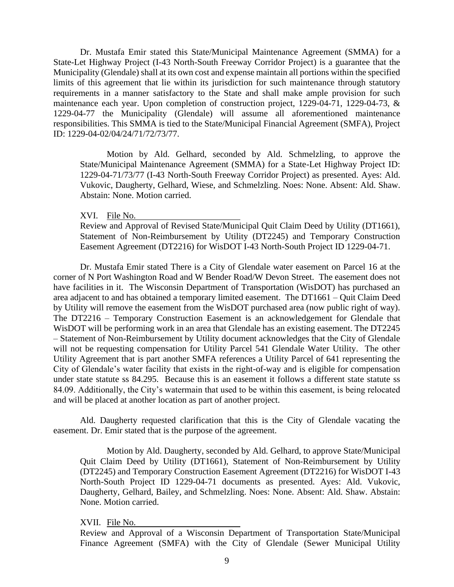Dr. Mustafa Emir stated this State/Municipal Maintenance Agreement (SMMA) for a State-Let Highway Project (I-43 North-South Freeway Corridor Project) is a guarantee that the Municipality (Glendale) shall at its own cost and expense maintain all portions within the specified limits of this agreement that lie within its jurisdiction for such maintenance through statutory requirements in a manner satisfactory to the State and shall make ample provision for such maintenance each year. Upon completion of construction project, 1229-04-71, 1229-04-73, & 1229-04-77 the Municipality (Glendale) will assume all aforementioned maintenance responsibilities. This SMMA is tied to the State/Municipal Financial Agreement (SMFA), Project ID: 1229-04-02/04/24/71/72/73/77.

Motion by Ald. Gelhard, seconded by Ald. Schmelzling, to approve the State/Municipal Maintenance Agreement (SMMA) for a State-Let Highway Project ID: 1229-04-71/73/77 (I-43 North-South Freeway Corridor Project) as presented. Ayes: Ald. Vukovic, Daugherty, Gelhard, Wiese, and Schmelzling. Noes: None. Absent: Ald. Shaw. Abstain: None. Motion carried.

#### XVI. File No.

Review and Approval of Revised State/Municipal Quit Claim Deed by Utility (DT1661), Statement of Non-Reimbursement by Utility (DT2245) and Temporary Construction Easement Agreement (DT2216) for WisDOT I-43 North-South Project ID 1229-04-71.

Dr. Mustafa Emir stated There is a City of Glendale water easement on Parcel 16 at the corner of N Port Washington Road and W Bender Road/W Devon Street. The easement does not have facilities in it. The Wisconsin Department of Transportation (WisDOT) has purchased an area adjacent to and has obtained a temporary limited easement. The DT1661 – Quit Claim Deed by Utility will remove the easement from the WisDOT purchased area (now public right of way). The DT2216 – Temporary Construction Easement is an acknowledgement for Glendale that WisDOT will be performing work in an area that Glendale has an existing easement. The DT2245 – Statement of Non-Reimbursement by Utility document acknowledges that the City of Glendale will not be requesting compensation for Utility Parcel 541 Glendale Water Utility. The other Utility Agreement that is part another SMFA references a Utility Parcel of 641 representing the City of Glendale's water facility that exists in the right-of-way and is eligible for compensation under state statute ss 84.295. Because this is an easement it follows a different state statute ss 84.09. Additionally, the City's watermain that used to be within this easement, is being relocated and will be placed at another location as part of another project.

Ald. Daugherty requested clarification that this is the City of Glendale vacating the easement. Dr. Emir stated that is the purpose of the agreement.

Motion by Ald. Daugherty, seconded by Ald. Gelhard, to approve State/Municipal Quit Claim Deed by Utility (DT1661), Statement of Non-Reimbursement by Utility (DT2245) and Temporary Construction Easement Agreement (DT2216) for WisDOT I-43 North-South Project ID 1229-04-71 documents as presented. Ayes: Ald. Vukovic, Daugherty, Gelhard, Bailey, and Schmelzling. Noes: None. Absent: Ald. Shaw. Abstain: None. Motion carried.

#### XVII. File No.

Review and Approval of a Wisconsin Department of Transportation State/Municipal Finance Agreement (SMFA) with the City of Glendale (Sewer Municipal Utility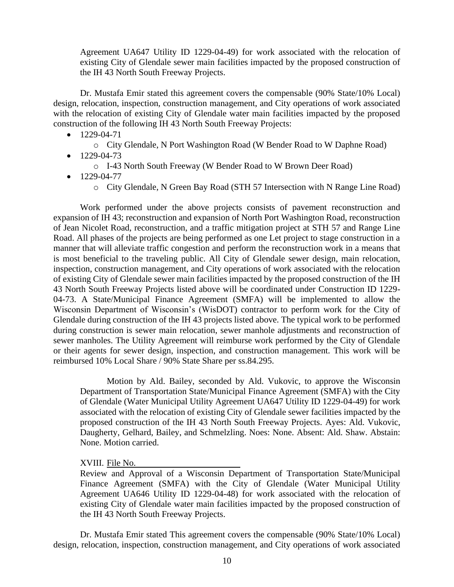Agreement UA647 Utility ID 1229-04-49) for work associated with the relocation of existing City of Glendale sewer main facilities impacted by the proposed construction of the IH 43 North South Freeway Projects.

Dr. Mustafa Emir stated this agreement covers the compensable (90% State/10% Local) design, relocation, inspection, construction management, and City operations of work associated with the relocation of existing City of Glendale water main facilities impacted by the proposed construction of the following IH 43 North South Freeway Projects:

- $\bullet$  1229-04-71
	- o City Glendale, N Port Washington Road (W Bender Road to W Daphne Road)
- $\bullet$  1229-04-73
	- o I-43 North South Freeway (W Bender Road to W Brown Deer Road)
- $\bullet$  1229-04-77
	- o City Glendale, N Green Bay Road (STH 57 Intersection with N Range Line Road)

Work performed under the above projects consists of pavement reconstruction and expansion of IH 43; reconstruction and expansion of North Port Washington Road, reconstruction of Jean Nicolet Road, reconstruction, and a traffic mitigation project at STH 57 and Range Line Road. All phases of the projects are being performed as one Let project to stage construction in a manner that will alleviate traffic congestion and perform the reconstruction work in a means that is most beneficial to the traveling public. All City of Glendale sewer design, main relocation, inspection, construction management, and City operations of work associated with the relocation of existing City of Glendale sewer main facilities impacted by the proposed construction of the IH 43 North South Freeway Projects listed above will be coordinated under Construction ID 1229- 04-73. A State/Municipal Finance Agreement (SMFA) will be implemented to allow the Wisconsin Department of Wisconsin's (WisDOT) contractor to perform work for the City of Glendale during construction of the IH 43 projects listed above. The typical work to be performed during construction is sewer main relocation, sewer manhole adjustments and reconstruction of sewer manholes. The Utility Agreement will reimburse work performed by the City of Glendale or their agents for sewer design, inspection, and construction management. This work will be reimbursed 10% Local Share / 90% State Share per ss.84.295.

Motion by Ald. Bailey, seconded by Ald. Vukovic, to approve the Wisconsin Department of Transportation State/Municipal Finance Agreement (SMFA) with the City of Glendale (Water Municipal Utility Agreement UA647 Utility ID 1229-04-49) for work associated with the relocation of existing City of Glendale sewer facilities impacted by the proposed construction of the IH 43 North South Freeway Projects. Ayes: Ald. Vukovic, Daugherty, Gelhard, Bailey, and Schmelzling. Noes: None. Absent: Ald. Shaw. Abstain: None. Motion carried.

XVIII. File No.

Review and Approval of a Wisconsin Department of Transportation State/Municipal Finance Agreement (SMFA) with the City of Glendale (Water Municipal Utility Agreement UA646 Utility ID 1229-04-48) for work associated with the relocation of existing City of Glendale water main facilities impacted by the proposed construction of the IH 43 North South Freeway Projects.

Dr. Mustafa Emir stated This agreement covers the compensable (90% State/10% Local) design, relocation, inspection, construction management, and City operations of work associated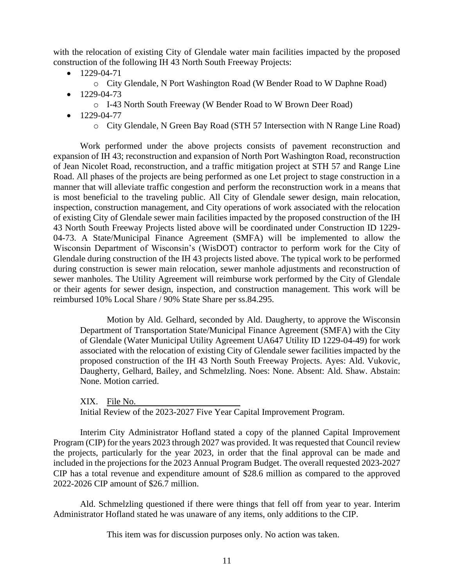with the relocation of existing City of Glendale water main facilities impacted by the proposed construction of the following IH 43 North South Freeway Projects:

- $\bullet$  1229-04-71
	- o City Glendale, N Port Washington Road (W Bender Road to W Daphne Road)
- $\bullet$  1229-04-73
	- o I-43 North South Freeway (W Bender Road to W Brown Deer Road)
- $\bullet$  1229-04-77
	- o City Glendale, N Green Bay Road (STH 57 Intersection with N Range Line Road)

Work performed under the above projects consists of pavement reconstruction and expansion of IH 43; reconstruction and expansion of North Port Washington Road, reconstruction of Jean Nicolet Road, reconstruction, and a traffic mitigation project at STH 57 and Range Line Road. All phases of the projects are being performed as one Let project to stage construction in a manner that will alleviate traffic congestion and perform the reconstruction work in a means that is most beneficial to the traveling public. All City of Glendale sewer design, main relocation, inspection, construction management, and City operations of work associated with the relocation of existing City of Glendale sewer main facilities impacted by the proposed construction of the IH 43 North South Freeway Projects listed above will be coordinated under Construction ID 1229- 04-73. A State/Municipal Finance Agreement (SMFA) will be implemented to allow the Wisconsin Department of Wisconsin's (WisDOT) contractor to perform work for the City of Glendale during construction of the IH 43 projects listed above. The typical work to be performed during construction is sewer main relocation, sewer manhole adjustments and reconstruction of sewer manholes. The Utility Agreement will reimburse work performed by the City of Glendale or their agents for sewer design, inspection, and construction management. This work will be reimbursed 10% Local Share / 90% State Share per ss.84.295.

Motion by Ald. Gelhard, seconded by Ald. Daugherty, to approve the Wisconsin Department of Transportation State/Municipal Finance Agreement (SMFA) with the City of Glendale (Water Municipal Utility Agreement UA647 Utility ID 1229-04-49) for work associated with the relocation of existing City of Glendale sewer facilities impacted by the proposed construction of the IH 43 North South Freeway Projects. Ayes: Ald. Vukovic, Daugherty, Gelhard, Bailey, and Schmelzling. Noes: None. Absent: Ald. Shaw. Abstain: None. Motion carried.

XIX. File No. Initial Review of the 2023-2027 Five Year Capital Improvement Program.

Interim City Administrator Hofland stated a copy of the planned Capital Improvement Program (CIP) for the years 2023 through 2027 was provided. It was requested that Council review the projects, particularly for the year 2023, in order that the final approval can be made and included in the projections for the 2023 Annual Program Budget. The overall requested 2023-2027 CIP has a total revenue and expenditure amount of \$28.6 million as compared to the approved 2022-2026 CIP amount of \$26.7 million.

Ald. Schmelzling questioned if there were things that fell off from year to year. Interim Administrator Hofland stated he was unaware of any items, only additions to the CIP.

This item was for discussion purposes only. No action was taken.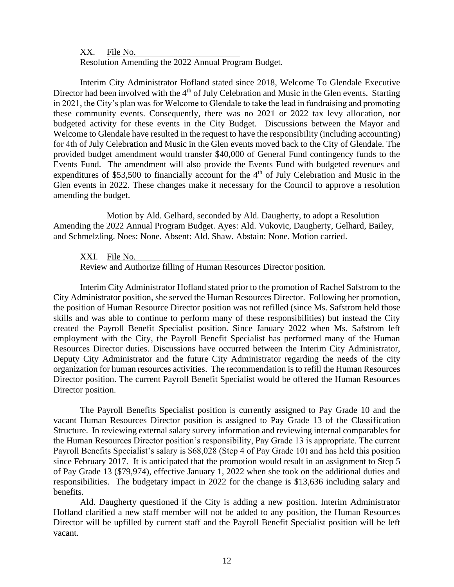XX. File No.

Resolution Amending the 2022 Annual Program Budget.

Interim City Administrator Hofland stated since 2018, Welcome To Glendale Executive Director had been involved with the 4<sup>th</sup> of July Celebration and Music in the Glen events. Starting in 2021, the City's plan was for Welcome to Glendale to take the lead in fundraising and promoting these community events. Consequently, there was no 2021 or 2022 tax levy allocation, nor budgeted activity for these events in the City Budget. Discussions between the Mayor and Welcome to Glendale have resulted in the request to have the responsibility (including accounting) for 4th of July Celebration and Music in the Glen events moved back to the City of Glendale. The provided budget amendment would transfer \$40,000 of General Fund contingency funds to the Events Fund. The amendment will also provide the Events Fund with budgeted revenues and expenditures of \$53,500 to financially account for the 4<sup>th</sup> of July Celebration and Music in the Glen events in 2022. These changes make it necessary for the Council to approve a resolution amending the budget.

Motion by Ald. Gelhard, seconded by Ald. Daugherty, to adopt a Resolution Amending the 2022 Annual Program Budget. Ayes: Ald. Vukovic, Daugherty, Gelhard, Bailey, and Schmelzling. Noes: None. Absent: Ald. Shaw. Abstain: None. Motion carried.

XXI. File No.

Review and Authorize filling of Human Resources Director position.

Interim City Administrator Hofland stated prior to the promotion of Rachel Safstrom to the City Administrator position, she served the Human Resources Director. Following her promotion, the position of Human Resource Director position was not refilled (since Ms. Safstrom held those skills and was able to continue to perform many of these responsibilities) but instead the City created the Payroll Benefit Specialist position. Since January 2022 when Ms. Safstrom left employment with the City, the Payroll Benefit Specialist has performed many of the Human Resources Director duties. Discussions have occurred between the Interim City Administrator, Deputy City Administrator and the future City Administrator regarding the needs of the city organization for human resources activities. The recommendation is to refill the Human Resources Director position. The current Payroll Benefit Specialist would be offered the Human Resources Director position.

The Payroll Benefits Specialist position is currently assigned to Pay Grade 10 and the vacant Human Resources Director position is assigned to Pay Grade 13 of the Classification Structure. In reviewing external salary survey information and reviewing internal comparables for the Human Resources Director position's responsibility, Pay Grade 13 is appropriate. The current Payroll Benefits Specialist's salary is \$68,028 (Step 4 of Pay Grade 10) and has held this position since February 2017. It is anticipated that the promotion would result in an assignment to Step 5 of Pay Grade 13 (\$79,974), effective January 1, 2022 when she took on the additional duties and responsibilities. The budgetary impact in 2022 for the change is \$13,636 including salary and benefits.

Ald. Daugherty questioned if the City is adding a new position. Interim Administrator Hofland clarified a new staff member will not be added to any position, the Human Resources Director will be upfilled by current staff and the Payroll Benefit Specialist position will be left vacant.